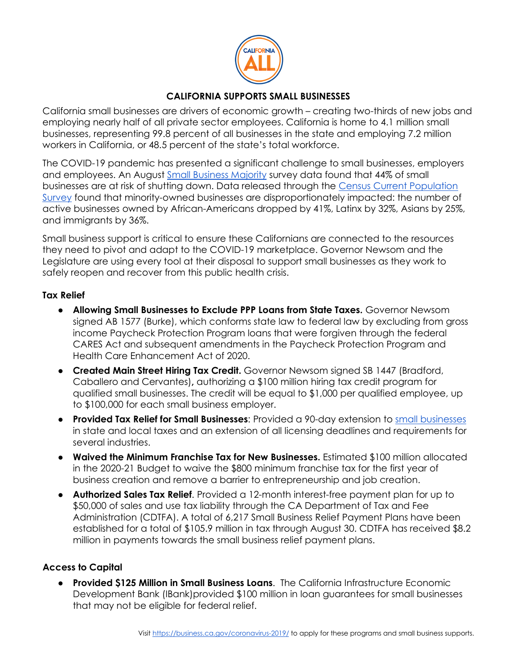

# **CALIFORNIA SUPPORTS SMALL BUSINESSES**

California small businesses are drivers of economic growth – creating two-thirds of new jobs and employing nearly half of all private sector employees. California is home to 4.1 million small businesses, representing 99.8 percent of all businesses in the state and employing 7.2 million workers in California, or 48.5 percent of the state's total workforce.

The COVID-19 pandemic has presented a significant challenge to small businesses, employers and employees. An August [Small Business Majority](https://smallbusinessmajority.org/press-release/small-business-majority-releases-new-survey-data-and-calls-congress-better-serve-small-businesses-covid-19-relief-package) survey data found that 44% of small businesses are at risk of shutting down. Data released through the [Census Current Population](https://www.washingtonpost.com/business/2020/05/25/black-minority-business-owners-coronavirus/)  [Survey](https://www.washingtonpost.com/business/2020/05/25/black-minority-business-owners-coronavirus/) found that minority-owned businesses are disproportionately impacted: the number of active businesses owned by African-Americans dropped by 41%, Latinx by 32%, Asians by 25%, and immigrants by 36%.

Small business support is critical to ensure these Californians are connected to the resources they need to pivot and adapt to the COVID-19 marketplace. Governor Newsom and the Legislature are using every tool at their disposal to support small businesses as they work to safely reopen and recover from this public health crisis.

### **Tax Relief**

- **Allowing Small Businesses to Exclude PPP Loans from State Taxes.** Governor Newsom signed AB 1577 (Burke), which conforms state law to federal law by excluding from gross income Paycheck Protection Program loans that were forgiven through the federal CARES Act and subsequent amendments in the Paycheck Protection Program and Health Care Enhancement Act of 2020.
- **Created Main Street Hiring Tax Credit.** Governor Newsom signed SB 1447 (Bradford, Caballero and Cervantes)**,** authorizing a \$100 million hiring tax credit program for qualified small businesses. The credit will be equal to \$1,000 per qualified employee, up to \$100,000 for each small business employer.
- **Provided Tax Relief for Small Businesses**: Provided a 90-day extension t[o](https://www.gov.ca.gov/2020/03/30/governor-newsom-signs-executive-order-providing-relief-to-california-small-businesses/) [small businesses](https://www.gov.ca.gov/2020/03/30/governor-newsom-signs-executive-order-providing-relief-to-california-small-businesses/) in state and local taxes and an extension of all licensing deadlines and requirements for several industries.
- **Waived the Minimum Franchise Tax for New Businesses.** Estimated \$100 million allocated in the 2020-21 Budget to waive the \$800 minimum franchise tax for the first year of business creation and remove a barrier to entrepreneurship and job creation.
- **Authorized Sales Tax Relief**. Provided a 12-month interest-free payment plan for up to \$50,000 of sales and use tax liability through the CA Department of Tax and Fee Administration (CDTFA). A total of 6,217 Small Business Relief Payment Plans have been established for a total of \$105.9 million in tax through August 30. CDTFA has received \$8.2 million in payments towards the small business relief payment plans.

## **Access to Capital**

● **Provided \$125 Million in Small Business Loans**. The California Infrastructure Economic Development Bank (IBank)provided \$100 million in loan guarantees for small businesses that may not be eligible for federal relief.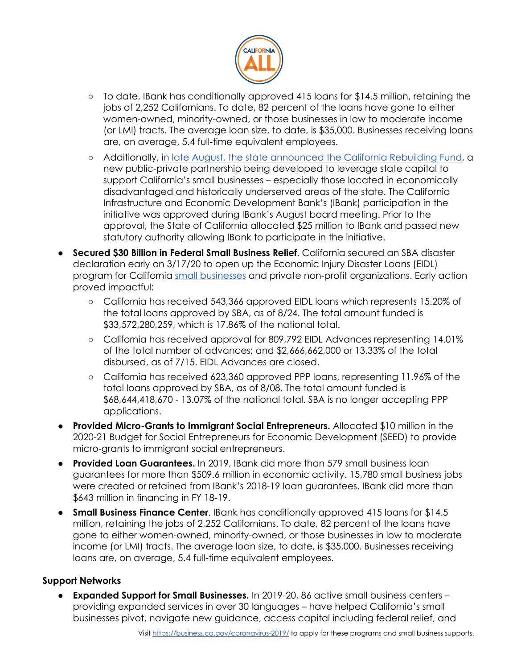

- To date, IBank has conditionally approved 415 loans for \$14.5 million, retaining the jobs of 2,252 Californians. To date, 82 percent of the loans have gone to either women-owned, minority-owned, or those businesses in low to moderate income (or LMI) tracts. The average loan size, to date, is \$35,000. Businesses receiving loans are, on average, 5.4 full-time equivalent employees.
- Additionally, [in late August, the state announced the California Rebuilding Fund,](https://mailchi.mp/8885c58dae1a/new-initiative-looks-to-support-smallest-of-california-small-businesses?e=baf8cfcabd) a new public-private partnership being developed to leverage state capital to support California's small businesses – especially those located in economically disadvantaged and historically underserved areas of the state. The California Infrastructure and Economic Development Bank's (IBank) participation in the initiative was approved during IBank's August board meeting. Prior to the approval, the State of California allocated \$25 million to IBank and passed new statutory authority allowing IBank to participate in the initiative.
- **Secured \$30 Billion in Federal Small Business Relief**. California secured an SBA disaster declaration early on 3/17/20 to open up the Economic Injury Disaster Loans (EIDL) program for California [small businesses](http://www.oesnews.com/sba-offers-disaster-assistance-to-california-small-businesses-economically-impacted-by-the-coronavirus-covid-19-2/) and private non-profit organizations. Early action proved impactful:
	- California has received 543,366 approved EIDL loans which represents 15.20% of the total loans approved by SBA, as of 8/24. The total amount funded is \$33,572,280,259, which is 17.86% of the national total.
	- California has received approval for 809,792 EIDL Advances representing 14.01% of the total number of advances; and \$2,666,662,000 or 13.33% of the total disbursed, as of 7/15. EIDL Advances are closed.
	- California has received 623,360 approved PPP loans, representing 11.96% of the total loans approved by SBA, as of 8/08. The total amount funded is \$68,644,418,670 - 13.07% of the national total. SBA is no longer accepting PPP applications.
- **Provided Micro-Grants to Immigrant Social Entrepreneurs.** Allocated \$10 million in the 2020-21 Budget for Social Entrepreneurs for Economic Development (SEED) to provide micro-grants to immigrant social entrepreneurs.
- **Provided Loan Guarantees.** In 2019, IBank did more than 579 small business loan guarantees for more than \$509.6 million in economic activity. 15,780 small business jobs were created or retained from IBank's 2018-19 loan guarantees. IBank did more than \$643 million in financing in FY 18-19.
- **Small Business Finance Center.** IBank has conditionally approved 415 loans for \$14.5 million, retaining the jobs of 2,252 Californians. To date, 82 percent of the loans have gone to either women-owned, minority-owned, or those businesses in low to moderate income (or LMI) tracts. The average loan size, to date, is \$35,000. Businesses receiving loans are, on average, 5.4 full-time equivalent employees.

## **Support Networks**

**Expanded Support for Small Businesses.** In 2019-20, 86 active small business centers – providing expanded services in over 30 languages – have helped California's small businesses pivot, navigate new guidance, access capital including federal relief, and